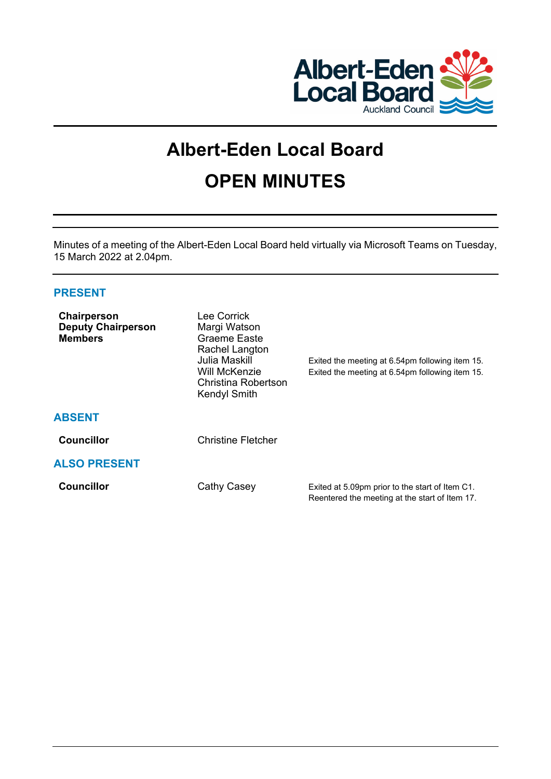

# **Albert-Eden Local Board OPEN MINUTES**

Minutes of a meeting of the Albert-Eden Local Board held virtually via Microsoft Teams on Tuesday, 15 March 2022 at 2.04pm.

# **PRESENT**

| Chairperson<br><b>Deputy Chairperson</b><br><b>Members</b> | Lee Corrick<br>Margi Watson<br>Graeme Easte<br>Rachel Langton<br>Julia Maskill<br>Will McKenzie<br>Christina Robertson<br><b>Kendyl Smith</b> | Exited the meeting at 6.54pm following item 15.<br>Exited the meeting at 6.54pm following item 15. |
|------------------------------------------------------------|-----------------------------------------------------------------------------------------------------------------------------------------------|----------------------------------------------------------------------------------------------------|
| <b>ABSENT</b>                                              |                                                                                                                                               |                                                                                                    |
| <b>Councillor</b>                                          | <b>Christine Fletcher</b>                                                                                                                     |                                                                                                    |
| <b>ALSO PRESENT</b>                                        |                                                                                                                                               |                                                                                                    |
| <b>Councillor</b>                                          | Cathy Casey                                                                                                                                   | Exited at 5.09pm prior to the start of Item C1.<br>Reentered the meeting at the start of Item 17.  |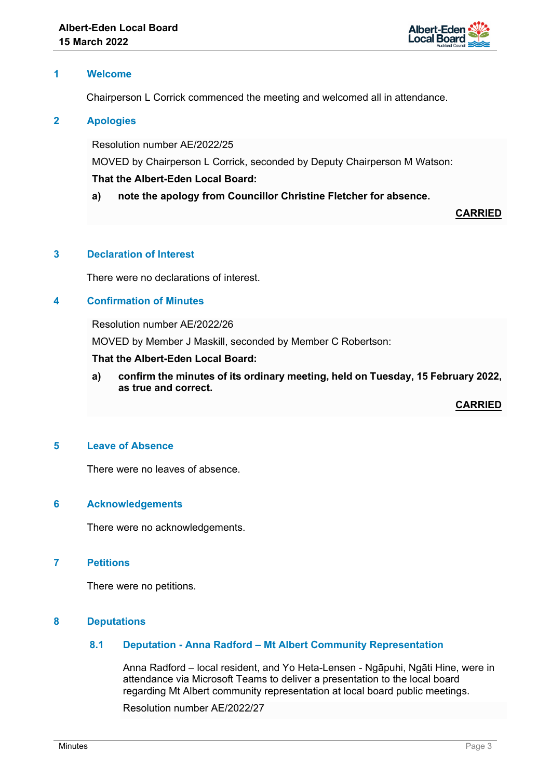

## **1 Welcome**

Chairperson L Corrick commenced the meeting and welcomed all in attendance.

## **2 Apologies**

Resolution number AE/2022/25

MOVED by Chairperson L Corrick, seconded by Deputy Chairperson M Watson:

## **That the Albert-Eden Local Board:**

**a) note the apology from Councillor Christine Fletcher for absence.**

**CARRIED**

## **3 Declaration of Interest**

There were no declarations of interest.

## **4 Confirmation of Minutes**

Resolution number AE/2022/26

MOVED by Member J Maskill, seconded by Member C Robertson:

#### **That the Albert-Eden Local Board:**

**a) confirm the minutes of its ordinary meeting, held on Tuesday, 15 February 2022, as true and correct.**

**CARRIED**

#### **5 Leave of Absence**

There were no leaves of absence.

#### **6 Acknowledgements**

There were no acknowledgements.

## **7 Petitions**

There were no petitions.

#### **8 Deputations**

## **8.1 Deputation - Anna Radford – Mt Albert Community Representation**

Anna Radford – local resident, and Yo Heta-Lensen - Ngāpuhi, Ngāti Hine, were in attendance via Microsoft Teams to deliver a presentation to the local board regarding Mt Albert community representation at local board public meetings.

Resolution number AE/2022/27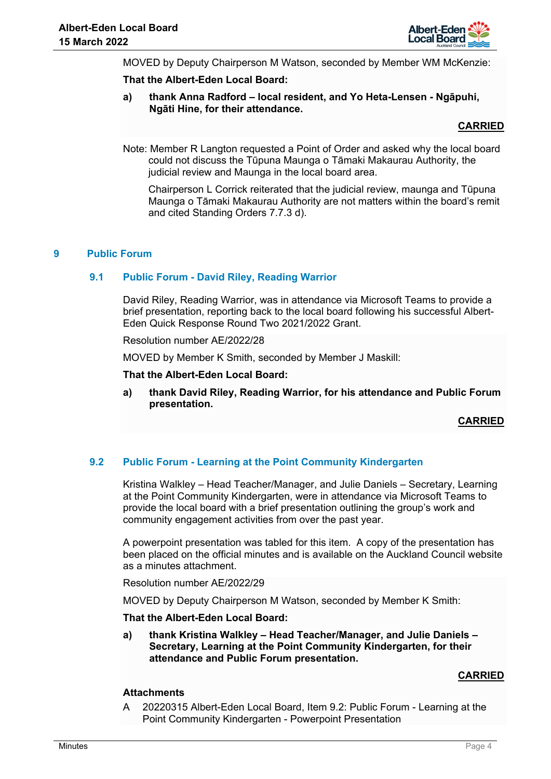

MOVED by Deputy Chairperson M Watson, seconded by Member WM McKenzie:

#### **That the Albert-Eden Local Board:**

**a) thank Anna Radford – local resident, and Yo Heta-Lensen - Ngāpuhi, Ngāti Hine, for their attendance.**

## **CARRIED**

Note: Member R Langton requested a Point of Order and asked why the local board could not discuss the Tūpuna Maunga o Tāmaki Makaurau Authority, the judicial review and Maunga in the local board area.

 Chairperson L Corrick reiterated that the judicial review, maunga and Tūpuna Maunga o Tāmaki Makaurau Authority are not matters within the board's remit and cited Standing Orders 7.7.3 d).

## **9 Public Forum**

## **9.1 Public Forum - David Riley, Reading Warrior**

David Riley, Reading Warrior, was in attendance via Microsoft Teams to provide a brief presentation, reporting back to the local board following his successful Albert-Eden Quick Response Round Two 2021/2022 Grant.

Resolution number AE/2022/28

MOVED by Member K Smith, seconded by Member J Maskill:

**That the Albert-Eden Local Board:** 

**a) thank David Riley, Reading Warrior, for his attendance and Public Forum presentation.**

**CARRIED**

# **9.2 Public Forum - Learning at the Point Community Kindergarten**

Kristina Walkley – Head Teacher/Manager, and Julie Daniels – Secretary, Learning at the Point Community Kindergarten, were in attendance via Microsoft Teams to provide the local board with a brief presentation outlining the group's work and community engagement activities from over the past year.

A powerpoint presentation was tabled for this item. A copy of the presentation has been placed on the official minutes and is available on the Auckland Council website as a minutes attachment.

Resolution number AE/2022/29

MOVED by Deputy Chairperson M Watson, seconded by Member K Smith:

#### **That the Albert-Eden Local Board:**

**a) thank Kristina Walkley – Head Teacher/Manager, and Julie Daniels – Secretary, Learning at the Point Community Kindergarten, for their attendance and Public Forum presentation.**

#### **CARRIED**

## **Attachments**

A 20220315 Albert-Eden Local Board, Item 9.2: Public Forum - Learning at the Point Community Kindergarten - Powerpoint Presentation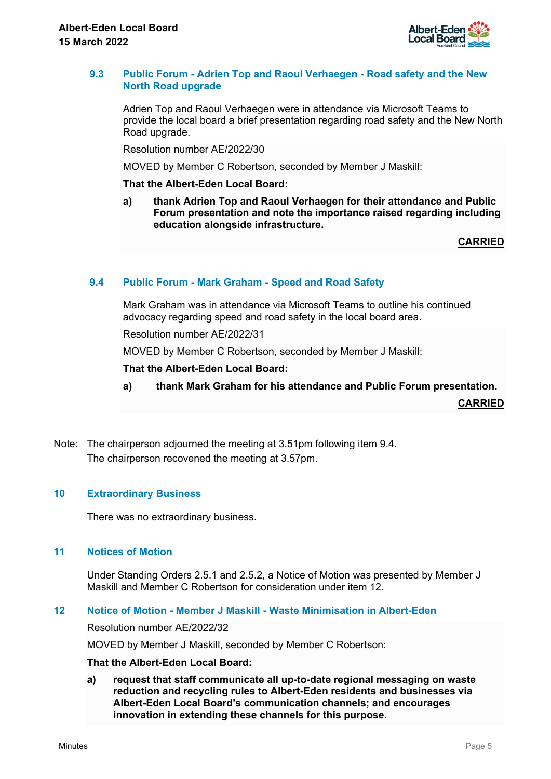

## **9.3 Public Forum - Adrien Top and Raoul Verhaegen - Road safety and the New North Road upgrade**

Adrien Top and Raoul Verhaegen were in attendance via Microsoft Teams to provide the local board a brief presentation regarding road safety and the New North Road upgrade.

Resolution number AE/2022/30

MOVED by Member C Robertson, seconded by Member J Maskill:

## **That the Albert-Eden Local Board:**

**a) thank Adrien Top and Raoul Verhaegen for their attendance and Public Forum presentation and note the importance raised regarding including education alongside infrastructure.**

**CARRIED**

# **9.4 Public Forum - Mark Graham - Speed and Road Safety**

Mark Graham was in attendance via Microsoft Teams to outline his continued advocacy regarding speed and road safety in the local board area.

Resolution number AE/2022/31

MOVED by Member C Robertson, seconded by Member J Maskill:

**That the Albert-Eden Local Board:** 

**a) thank Mark Graham for his attendance and Public Forum presentation.**

**CARRIED**

Note: The chairperson adjourned the meeting at 3.51pm following item 9.4. The chairperson recovened the meeting at 3.57pm.

## **10 Extraordinary Business**

There was no extraordinary business.

## **11 Notices of Motion**

Under Standing Orders 2.5.1 and 2.5.2, a Notice of Motion was presented by Member J Maskill and Member C Robertson for consideration under item 12.

#### **12 Notice of Motion - Member J Maskill - Waste Minimisation in Albert-Eden**

Resolution number AE/2022/32

MOVED by Member J Maskill, seconded by Member C Robertson:

#### **That the Albert-Eden Local Board:**

**a) request that staff communicate all up-to-date regional messaging on waste reduction and recycling rules to Albert-Eden residents and businesses via Albert-Eden Local Board's communication channels; and encourages innovation in extending these channels for this purpose.**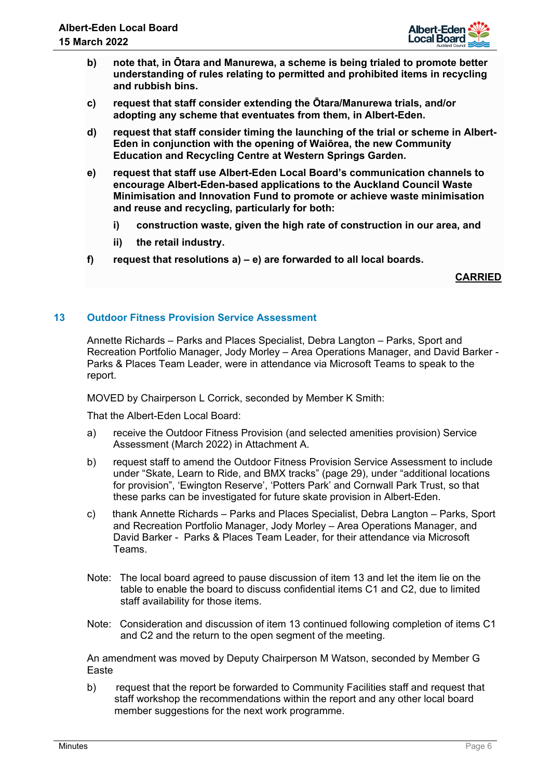

- **b) note that, in Ōtara and Manurewa, a scheme is being trialed to promote better understanding of rules relating to permitted and prohibited items in recycling and rubbish bins.**
- **c) request that staff consider extending the Ōtara/Manurewa trials, and/or adopting any scheme that eventuates from them, in Albert-Eden.**
- **d) request that staff consider timing the launching of the trial or scheme in Albert-Eden in conjunction with the opening of Waiōrea, the new Community Education and Recycling Centre at Western Springs Garden.**
- **e) request that staff use Albert-Eden Local Board's communication channels to encourage Albert-Eden-based applications to the Auckland Council Waste Minimisation and Innovation Fund to promote or achieve waste minimisation and reuse and recycling, particularly for both:** 
	- **i) construction waste, given the high rate of construction in our area, and**
	- **ii) the retail industry.**
- **f) request that resolutions a) e) are forwarded to all local boards.**

**CARRIED**

## **13 Outdoor Fitness Provision Service Assessment**

Annette Richards – Parks and Places Specialist, Debra Langton – Parks, Sport and Recreation Portfolio Manager, Jody Morley – Area Operations Manager, and David Barker - Parks & Places Team Leader, were in attendance via Microsoft Teams to speak to the report.

MOVED by Chairperson L Corrick, seconded by Member K Smith:

That the Albert-Eden Local Board:

- a) receive the Outdoor Fitness Provision (and selected amenities provision) Service Assessment (March 2022) in Attachment A.
- b) request staff to amend the Outdoor Fitness Provision Service Assessment to include under "Skate, Learn to Ride, and BMX tracks" (page 29), under "additional locations for provision", 'Ewington Reserve', 'Potters Park' and Cornwall Park Trust, so that these parks can be investigated for future skate provision in Albert-Eden.
- c) thank Annette Richards Parks and Places Specialist, Debra Langton Parks, Sport and Recreation Portfolio Manager, Jody Morley – Area Operations Manager, and David Barker - Parks & Places Team Leader, for their attendance via Microsoft Teams.
- Note: The local board agreed to pause discussion of item 13 and let the item lie on the table to enable the board to discuss confidential items C1 and C2, due to limited staff availability for those items.
- Note: Consideration and discussion of item 13 continued following completion of items C1 and C2 and the return to the open segment of the meeting.

An amendment was moved by Deputy Chairperson M Watson, seconded by Member G Easte

b) request that the report be forwarded to Community Facilities staff and request that staff workshop the recommendations within the report and any other local board member suggestions for the next work programme.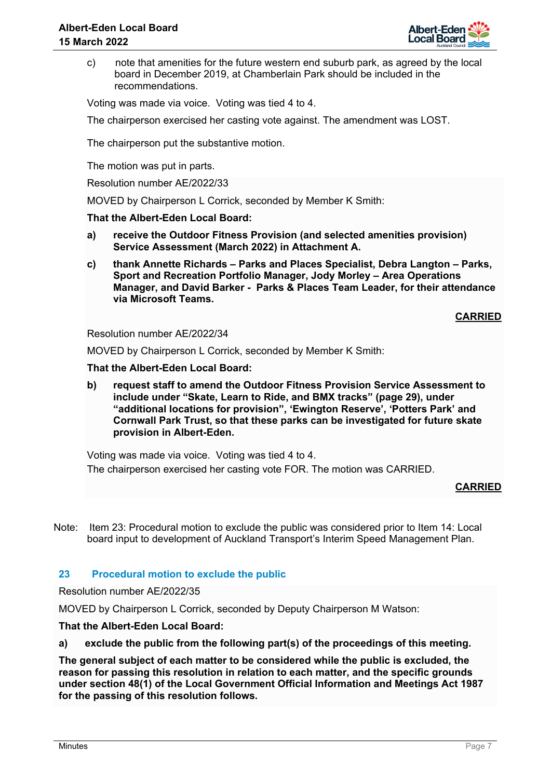

c) note that amenities for the future western end suburb park, as agreed by the local board in December 2019, at Chamberlain Park should be included in the recommendations.

Voting was made via voice. Voting was tied 4 to 4.

The chairperson exercised her casting vote against. The amendment was LOST.

The chairperson put the substantive motion.

The motion was put in parts.

Resolution number AE/2022/33

MOVED by Chairperson L Corrick, seconded by Member K Smith:

## **That the Albert-Eden Local Board:**

- **a) receive the Outdoor Fitness Provision (and selected amenities provision) Service Assessment (March 2022) in Attachment A.**
- **c) thank Annette Richards Parks and Places Specialist, Debra Langton Parks, Sport and Recreation Portfolio Manager, Jody Morley – Area Operations Manager, and David Barker - Parks & Places Team Leader, for their attendance via Microsoft Teams.**

**CARRIED**

Resolution number AE/2022/34

MOVED by Chairperson L Corrick, seconded by Member K Smith:

## **That the Albert-Eden Local Board:**

**b) request staff to amend the Outdoor Fitness Provision Service Assessment to include under "Skate, Learn to Ride, and BMX tracks" (page 29), under "additional locations for provision", 'Ewington Reserve', 'Potters Park' and Cornwall Park Trust, so that these parks can be investigated for future skate provision in Albert-Eden.** 

Voting was made via voice. Voting was tied 4 to 4. The chairperson exercised her casting vote FOR. The motion was CARRIED.

#### **CARRIED**

Note: Item 23: Procedural motion to exclude the public was considered prior to Item 14: Local board input to development of Auckland Transport's Interim Speed Management Plan.

## **23 Procedural motion to exclude the public**

Resolution number AE/2022/35

MOVED by Chairperson L Corrick, seconded by Deputy Chairperson M Watson:

**That the Albert-Eden Local Board:** 

**a) exclude the public from the following part(s) of the proceedings of this meeting.** 

**The general subject of each matter to be considered while the public is excluded, the reason for passing this resolution in relation to each matter, and the specific grounds under section 48(1) of the Local Government Official Information and Meetings Act 1987 for the passing of this resolution follows.**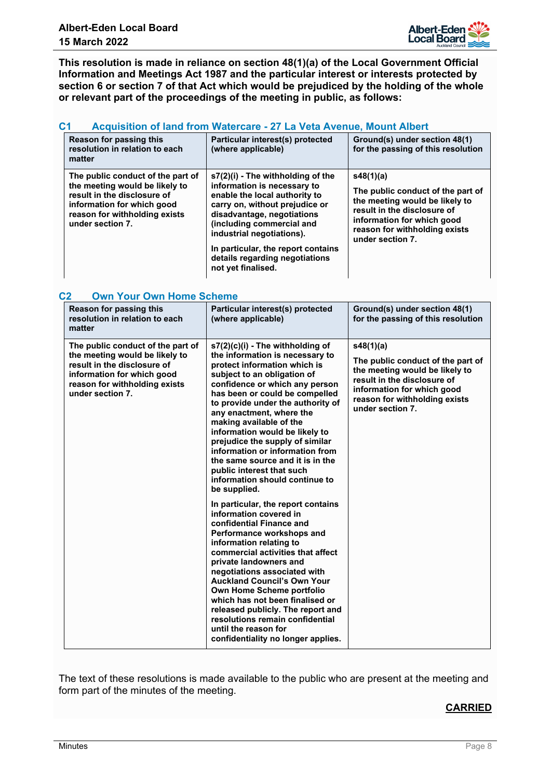

**This resolution is made in reliance on section 48(1)(a) of the Local Government Official Information and Meetings Act 1987 and the particular interest or interests protected by section 6 or section 7 of that Act which would be prejudiced by the holding of the whole or relevant part of the proceedings of the meeting in public, as follows:**

## **C1 Acquisition of land from Watercare - 27 La Veta Avenue, Mount Albert**

| Reason for passing this<br>resolution in relation to each<br>matter                                                                                                                   | Particular interest(s) protected<br>(where applicable)                                                                                                                                                                                                                                                                    | Ground(s) under section 48(1)<br>for the passing of this resolution                                                                                                                                |
|---------------------------------------------------------------------------------------------------------------------------------------------------------------------------------------|---------------------------------------------------------------------------------------------------------------------------------------------------------------------------------------------------------------------------------------------------------------------------------------------------------------------------|----------------------------------------------------------------------------------------------------------------------------------------------------------------------------------------------------|
| The public conduct of the part of<br>the meeting would be likely to<br>result in the disclosure of<br>information for which good<br>reason for withholding exists<br>under section 7. | s7(2)(i) - The withholding of the<br>information is necessary to<br>enable the local authority to<br>carry on, without prejudice or<br>disadvantage, negotiations<br>(including commercial and<br>industrial negotiations).<br>In particular, the report contains<br>details regarding negotiations<br>not yet finalised. | s48(1)(a)<br>The public conduct of the part of<br>the meeting would be likely to<br>result in the disclosure of<br>information for which good<br>reason for withholding exists<br>under section 7. |

| C <sub>2</sub><br><b>Own Your Own Home Scheme</b>                                                                                                                                     |                                                                                                                                                                                                                                                                                                                                                                                                                                                                                                                                 |                                                                                                                                                                                                    |  |  |
|---------------------------------------------------------------------------------------------------------------------------------------------------------------------------------------|---------------------------------------------------------------------------------------------------------------------------------------------------------------------------------------------------------------------------------------------------------------------------------------------------------------------------------------------------------------------------------------------------------------------------------------------------------------------------------------------------------------------------------|----------------------------------------------------------------------------------------------------------------------------------------------------------------------------------------------------|--|--|
| Reason for passing this<br>resolution in relation to each<br>matter                                                                                                                   | Particular interest(s) protected<br>(where applicable)                                                                                                                                                                                                                                                                                                                                                                                                                                                                          | Ground(s) under section 48(1)<br>for the passing of this resolution                                                                                                                                |  |  |
| The public conduct of the part of<br>the meeting would be likely to<br>result in the disclosure of<br>information for which good<br>reason for withholding exists<br>under section 7. | $s7(2)(c)(i)$ - The withholding of<br>the information is necessary to<br>protect information which is<br>subject to an obligation of<br>confidence or which any person<br>has been or could be compelled<br>to provide under the authority of<br>any enactment, where the<br>making available of the<br>information would be likely to<br>prejudice the supply of similar<br>information or information from<br>the same source and it is in the<br>public interest that such<br>information should continue to<br>be supplied. | s48(1)(a)<br>The public conduct of the part of<br>the meeting would be likely to<br>result in the disclosure of<br>information for which good<br>reason for withholding exists<br>under section 7. |  |  |
|                                                                                                                                                                                       | In particular, the report contains<br>information covered in<br>confidential Finance and<br>Performance workshops and<br>information relating to<br>commercial activities that affect<br>private landowners and<br>negotiations associated with<br><b>Auckland Council's Own Your</b><br>Own Home Scheme portfolio<br>which has not been finalised or<br>released publicly. The report and<br>resolutions remain confidential<br>until the reason for<br>confidentiality no longer applies.                                     |                                                                                                                                                                                                    |  |  |

The text of these resolutions is made available to the public who are present at the meeting and form part of the minutes of the meeting.

# **CARRIED**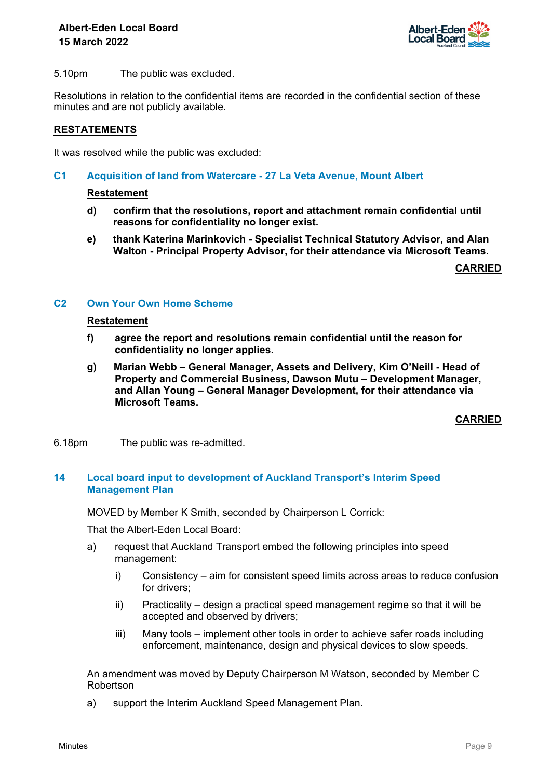

5.10pm The public was excluded.

Resolutions in relation to the confidential items are recorded in the confidential section of these minutes and are not publicly available.

## **RESTATEMENTS**

It was resolved while the public was excluded:

**C1 Acquisition of land from Watercare - 27 La Veta Avenue, Mount Albert**

#### **Restatement**

- **d) confirm that the resolutions, report and attachment remain confidential until reasons for confidentiality no longer exist.**
- **e) thank Katerina Marinkovich Specialist Technical Statutory Advisor, and Alan Walton - Principal Property Advisor, for their attendance via Microsoft Teams.**

**CARRIED**

#### **C2 Own Your Own Home Scheme**

#### **Restatement**

- **f) agree the report and resolutions remain confidential until the reason for confidentiality no longer applies.**
- **g) Marian Webb General Manager, Assets and Delivery, Kim O'Neill Head of Property and Commercial Business, Dawson Mutu – Development Manager, and Allan Young – General Manager Development, for their attendance via Microsoft Teams.**

**CARRIED**

6.18pm The public was re-admitted.

## **14 Local board input to development of Auckland Transport's Interim Speed Management Plan**

MOVED by Member K Smith, seconded by Chairperson L Corrick:

That the Albert-Eden Local Board:

- a) request that Auckland Transport embed the following principles into speed management:
	- i) Consistency aim for consistent speed limits across areas to reduce confusion for drivers;
	- ii) Practicality design a practical speed management regime so that it will be accepted and observed by drivers;
	- iii) Many tools implement other tools in order to achieve safer roads including enforcement, maintenance, design and physical devices to slow speeds.

An amendment was moved by Deputy Chairperson M Watson, seconded by Member C Robertson

a) support the Interim Auckland Speed Management Plan.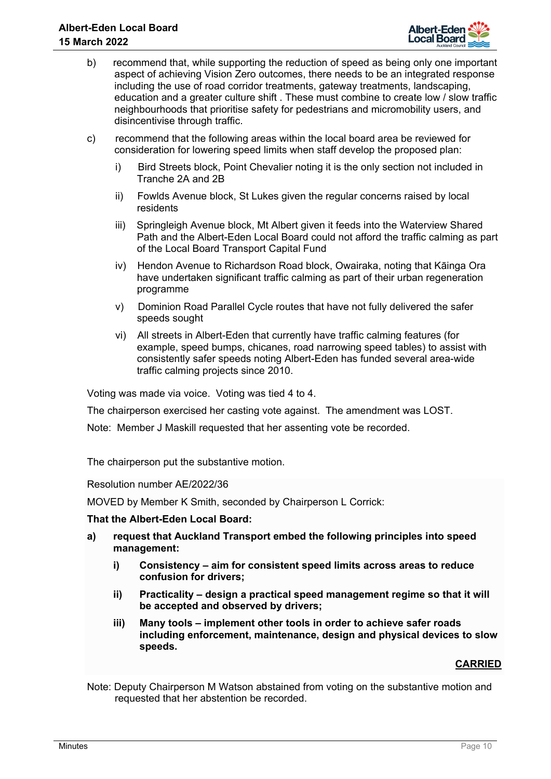

- b) recommend that, while supporting the reduction of speed as being only one important aspect of achieving Vision Zero outcomes, there needs to be an integrated response including the use of road corridor treatments, gateway treatments, landscaping, education and a greater culture shift . These must combine to create low / slow traffic neighbourhoods that prioritise safety for pedestrians and micromobility users, and disincentivise through traffic.
- c) recommend that the following areas within the local board area be reviewed for consideration for lowering speed limits when staff develop the proposed plan:
	- i) Bird Streets block, Point Chevalier noting it is the only section not included in Tranche 2A and 2B
	- ii) Fowlds Avenue block, St Lukes given the regular concerns raised by local residents
	- iii) Springleigh Avenue block, Mt Albert given it feeds into the Waterview Shared Path and the Albert-Eden Local Board could not afford the traffic calming as part of the Local Board Transport Capital Fund
	- iv) Hendon Avenue to Richardson Road block, Owairaka, noting that Kāinga Ora have undertaken significant traffic calming as part of their urban regeneration programme
	- v) Dominion Road Parallel Cycle routes that have not fully delivered the safer speeds sought
	- vi) All streets in Albert-Eden that currently have traffic calming features (for example, speed bumps, chicanes, road narrowing speed tables) to assist with consistently safer speeds noting Albert-Eden has funded several area-wide traffic calming projects since 2010.

Voting was made via voice. Voting was tied 4 to 4.

The chairperson exercised her casting vote against. The amendment was LOST.

Note: Member J Maskill requested that her assenting vote be recorded.

The chairperson put the substantive motion.

Resolution number AE/2022/36

MOVED by Member K Smith, seconded by Chairperson L Corrick:

## **That the Albert-Eden Local Board:**

- **a) request that Auckland Transport embed the following principles into speed management:** 
	- **i) Consistency aim for consistent speed limits across areas to reduce confusion for drivers;**
	- **ii) Practicality design a practical speed management regime so that it will be accepted and observed by drivers;**
	- **iii) Many tools implement other tools in order to achieve safer roads including enforcement, maintenance, design and physical devices to slow speeds.**

## **CARRIED**

Note: Deputy Chairperson M Watson abstained from voting on the substantive motion and requested that her abstention be recorded.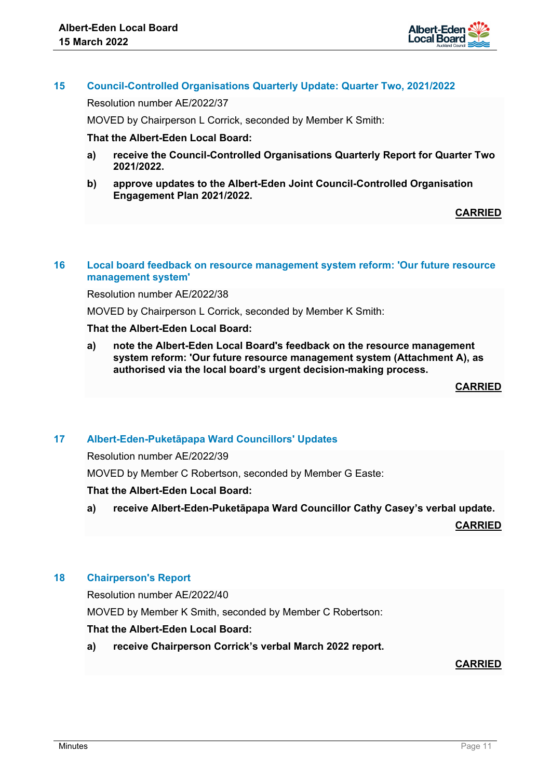

## **15 Council-Controlled Organisations Quarterly Update: Quarter Two, 2021/2022**

Resolution number AE/2022/37

MOVED by Chairperson L Corrick, seconded by Member K Smith:

#### **That the Albert-Eden Local Board:**

- **a) receive the Council-Controlled Organisations Quarterly Report for Quarter Two 2021/2022.**
- **b) approve updates to the Albert-Eden Joint Council-Controlled Organisation Engagement Plan 2021/2022.**

**CARRIED**

#### **16 Local board feedback on resource management system reform: 'Our future resource management system'**

Resolution number AE/2022/38

MOVED by Chairperson L Corrick, seconded by Member K Smith:

## **That the Albert-Eden Local Board:**

**a) note the Albert-Eden Local Board's feedback on the resource management system reform: 'Our future resource management system (Attachment A), as authorised via the local board's urgent decision-making process.**

**CARRIED**

#### **17 Albert-Eden-Puketāpapa Ward Councillors' Updates**

Resolution number AE/2022/39

MOVED by Member C Robertson, seconded by Member G Easte:

#### **That the Albert-Eden Local Board:**

**a) receive Albert-Eden-Puketāpapa Ward Councillor Cathy Casey's verbal update.**

**CARRIED**

## **18 Chairperson's Report**

Resolution number AE/2022/40

MOVED by Member K Smith, seconded by Member C Robertson:

#### **That the Albert-Eden Local Board:**

**a) receive Chairperson Corrick's verbal March 2022 report.**

**CARRIED**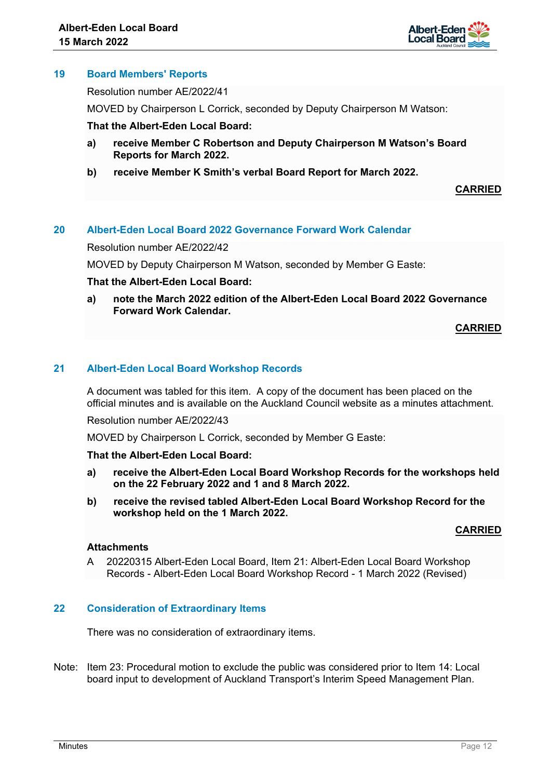

## **19 Board Members' Reports**

Resolution number AE/2022/41

MOVED by Chairperson L Corrick, seconded by Deputy Chairperson M Watson:

#### **That the Albert-Eden Local Board:**

- **a) receive Member C Robertson and Deputy Chairperson M Watson's Board Reports for March 2022.**
- **b) receive Member K Smith's verbal Board Report for March 2022.**

**CARRIED**

## **20 Albert-Eden Local Board 2022 Governance Forward Work Calendar**

Resolution number AE/2022/42

MOVED by Deputy Chairperson M Watson, seconded by Member G Easte:

#### **That the Albert-Eden Local Board:**

**a) note the March 2022 edition of the Albert-Eden Local Board 2022 Governance Forward Work Calendar.** 

#### **CARRIED**

## **21 Albert-Eden Local Board Workshop Records**

A document was tabled for this item. A copy of the document has been placed on the official minutes and is available on the Auckland Council website as a minutes attachment.

Resolution number AE/2022/43

MOVED by Chairperson L Corrick, seconded by Member G Easte:

#### **That the Albert-Eden Local Board:**

- **a) receive the Albert-Eden Local Board Workshop Records for the workshops held on the 22 February 2022 and 1 and 8 March 2022.**
- **b) receive the revised tabled Albert-Eden Local Board Workshop Record for the workshop held on the 1 March 2022.**

#### **CARRIED**

## **Attachments**

A 20220315 Albert-Eden Local Board, Item 21: Albert-Eden Local Board Workshop Records - Albert-Eden Local Board Workshop Record - 1 March 2022 (Revised)

#### **22 Consideration of Extraordinary Items**

There was no consideration of extraordinary items.

Note: Item 23: Procedural motion to exclude the public was considered prior to Item 14: Local board input to development of Auckland Transport's Interim Speed Management Plan.